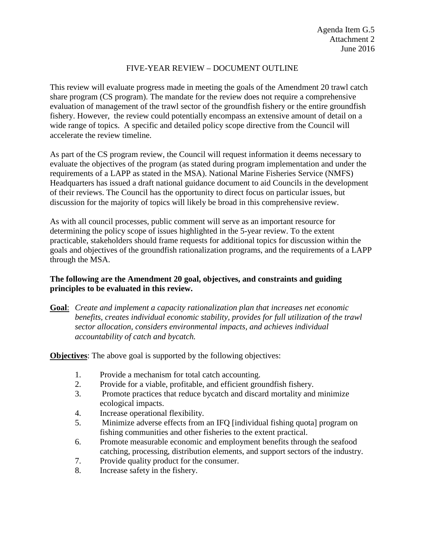### FIVE-YEAR REVIEW – DOCUMENT OUTLINE

This review will evaluate progress made in meeting the goals of the Amendment 20 trawl catch share program (CS program). The mandate for the review does not require a comprehensive evaluation of management of the trawl sector of the groundfish fishery or the entire groundfish fishery. However, the review could potentially encompass an extensive amount of detail on a wide range of topics. A specific and detailed policy scope directive from the Council will accelerate the review timeline.

As part of the CS program review, the Council will request information it deems necessary to evaluate the objectives of the program (as stated during program implementation and under the requirements of a LAPP as stated in the MSA). National Marine Fisheries Service (NMFS) Headquarters has issued a draft national guidance document to aid Councils in the development of their reviews. The Council has the opportunity to direct focus on particular issues, but discussion for the majority of topics will likely be broad in this comprehensive review.

As with all council processes, public comment will serve as an important resource for determining the policy scope of issues highlighted in the 5-year review. To the extent practicable, stakeholders should frame requests for additional topics for discussion within the goals and objectives of the groundfish rationalization programs, and the requirements of a LAPP through the MSA.

# **The following are the Amendment 20 goal, objectives, and constraints and guiding principles to be evaluated in this review.**

**Goal**: *Create and implement a capacity rationalization plan that increases net economic benefits, creates individual economic stability, provides for full utilization of the trawl sector allocation, considers environmental impacts, and achieves individual accountability of catch and bycatch.*

**Objectives:** The above goal is supported by the following objectives:

- 1. Provide a mechanism for total catch accounting.
- 2. Provide for a viable, profitable, and efficient groundfish fishery.
- 3. Promote practices that reduce bycatch and discard mortality and minimize ecological impacts.
- 4. Increase operational flexibility.
- 5. Minimize adverse effects from an IFQ [individual fishing quota] program on fishing communities and other fisheries to the extent practical.
- 6. Promote measurable economic and employment benefits through the seafood catching, processing, distribution elements, and support sectors of the industry.
- 7. Provide quality product for the consumer.
- 8. Increase safety in the fishery.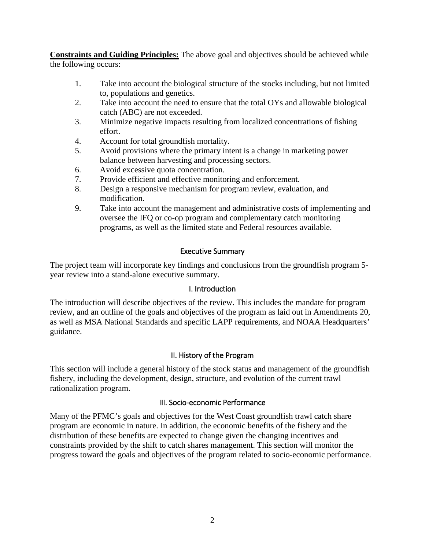**Constraints and Guiding Principles:** The above goal and objectives should be achieved while the following occurs:

- 1. Take into account the biological structure of the stocks including, but not limited to, populations and genetics.
- 2. Take into account the need to ensure that the total OYs and allowable biological catch (ABC) are not exceeded.
- 3. Minimize negative impacts resulting from localized concentrations of fishing effort.
- 4. Account for total groundfish mortality.
- 5. Avoid provisions where the primary intent is a change in marketing power balance between harvesting and processing sectors.
- 6. Avoid excessive quota concentration.
- 7. Provide efficient and effective monitoring and enforcement.
- 8. Design a responsive mechanism for program review, evaluation, and modification.
- 9. Take into account the management and administrative costs of implementing and oversee the IFQ or co-op program and complementary catch monitoring programs, as well as the limited state and Federal resources available.

# Executive Summary

The project team will incorporate key findings and conclusions from the groundfish program 5 year review into a stand-alone executive summary.

# I. Introduction

The introduction will describe objectives of the review. This includes the mandate for program review, and an outline of the goals and objectives of the program as laid out in Amendments 20, as well as MSA National Standards and specific LAPP requirements, and NOAA Headquarters' guidance.

# II. History of the Program

This section will include a general history of the stock status and management of the groundfish fishery, including the development, design, structure, and evolution of the current trawl rationalization program.

# III. Socio-economic Performance

Many of the PFMC's goals and objectives for the West Coast groundfish trawl catch share program are economic in nature. In addition, the economic benefits of the fishery and the distribution of these benefits are expected to change given the changing incentives and constraints provided by the shift to catch shares management. This section will monitor the progress toward the goals and objectives of the program related to socio-economic performance.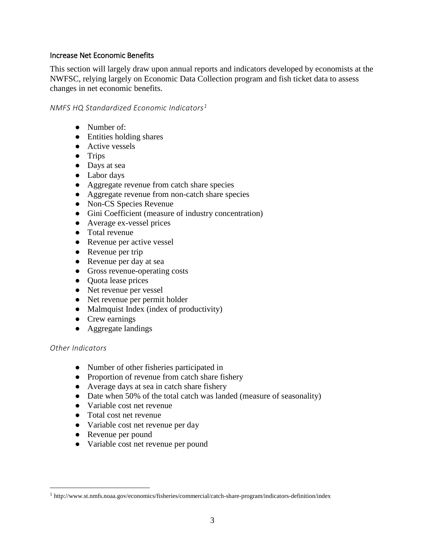#### Increase Net Economic Benefits

This section will largely draw upon annual reports and indicators developed by economists at the NWFSC, relying largely on Economic Data Collection program and fish ticket data to assess changes in net economic benefits.

#### *NMFS HQ Standardized Economic Indicators[1](#page-2-0)*

- Number of:
- Entities holding shares
- Active vessels
- Trips
- Days at sea
- Labor days
- Aggregate revenue from catch share species
- Aggregate revenue from non-catch share species
- Non-CS Species Revenue
- Gini Coefficient (measure of industry concentration)
- Average ex-vessel prices
- Total revenue
- Revenue per active vessel
- Revenue per trip
- Revenue per day at sea
- Gross revenue-operating costs
- Quota lease prices
- Net revenue per vessel
- Net revenue per permit holder
- Malmquist Index (index of productivity)
- Crew earnings
- Aggregate landings

# *Other Indicators*

- Number of other fisheries participated in
- Proportion of revenue from catch share fishery
- Average days at sea in catch share fishery
- Date when 50% of the total catch was landed (measure of seasonality)
- Variable cost net revenue
- Total cost net revenue
- Variable cost net revenue per day
- Revenue per pound
- Variable cost net revenue per pound

<span id="page-2-0"></span> <sup>1</sup> http://www.st.nmfs.noaa.gov/economics/fisheries/commercial/catch-share-program/indicators-definition/index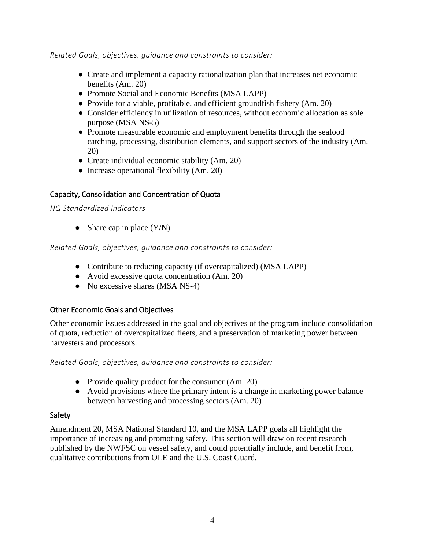*Related Goals, objectives, guidance and constraints to consider:*

- Create and implement a capacity rationalization plan that increases net economic benefits (Am. 20)
- Promote Social and Economic Benefits (MSA LAPP)
- Provide for a viable, profitable, and efficient groundfish fishery (Am. 20)
- Consider efficiency in utilization of resources, without economic allocation as sole purpose (MSA NS-5)
- Promote measurable economic and employment benefits through the seafood catching, processing, distribution elements, and support sectors of the industry (Am. 20)
- Create individual economic stability (Am. 20)
- Increase operational flexibility (Am. 20)

#### Capacity, Consolidation and Concentration of Quota

*HQ Standardized Indicators*

• Share cap in place  $(Y/N)$ 

*Related Goals, objectives, guidance and constraints to consider:*

- Contribute to reducing capacity (if overcapitalized) (MSA LAPP)
- Avoid excessive quota concentration (Am. 20)
- No excessive shares (MSA NS-4)

#### Other Economic Goals and Objectives

Other economic issues addressed in the goal and objectives of the program include consolidation of quota, reduction of overcapitalized fleets, and a preservation of marketing power between harvesters and processors.

*Related Goals, objectives, guidance and constraints to consider:*

- Provide quality product for the consumer (Am. 20)
- Avoid provisions where the primary intent is a change in marketing power balance between harvesting and processing sectors (Am. 20)

#### Safety

Amendment 20, MSA National Standard 10, and the MSA LAPP goals all highlight the importance of increasing and promoting safety. This section will draw on recent research published by the NWFSC on vessel safety, and could potentially include, and benefit from, qualitative contributions from OLE and the U.S. Coast Guard.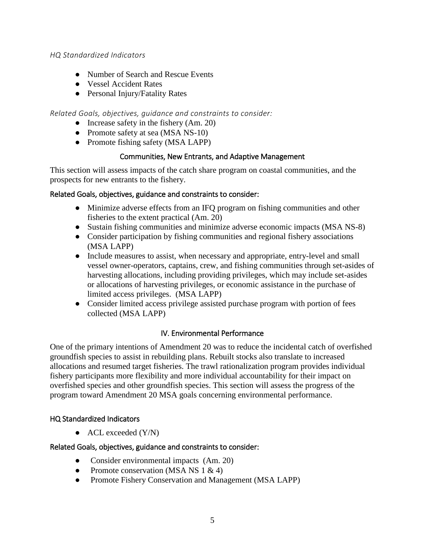#### *HQ Standardized Indicators*

- Number of Search and Rescue Events
- Vessel Accident Rates
- Personal Injury/Fatality Rates

# *Related Goals, objectives, guidance and constraints to consider:*

- Increase safety in the fishery  $(Am, 20)$
- Promote safety at sea (MSA NS-10)
- Promote fishing safety (MSA LAPP)

# Communities, New Entrants, and Adaptive Management

This section will assess impacts of the catch share program on coastal communities, and the prospects for new entrants to the fishery.

#### Related Goals, objectives, guidance and constraints to consider:

- Minimize adverse effects from an IFQ program on fishing communities and other fisheries to the extent practical (Am. 20)
- Sustain fishing communities and minimize adverse economic impacts (MSA NS-8)
- Consider participation by fishing communities and regional fishery associations (MSA LAPP)
- Include measures to assist, when necessary and appropriate, entry-level and small vessel owner-operators, captains, crew, and fishing communities through set-asides of harvesting allocations, including providing privileges, which may include set-asides or allocations of harvesting privileges, or economic assistance in the purchase of limited access privileges. (MSA LAPP)
- Consider limited access privilege assisted purchase program with portion of fees collected (MSA LAPP)

# IV. Environmental Performance

One of the primary intentions of Amendment 20 was to reduce the incidental catch of overfished groundfish species to assist in rebuilding plans. Rebuilt stocks also translate to increased allocations and resumed target fisheries. The trawl rationalization program provides individual fishery participants more flexibility and more individual accountability for their impact on overfished species and other groundfish species. This section will assess the progress of the program toward Amendment 20 MSA goals concerning environmental performance.

# HQ Standardized Indicators

 $\bullet$  ACL exceeded  $(Y/N)$ 

# Related Goals, objectives, guidance and constraints to consider:

- Consider environmental impacts (Am. 20)
- Promote conservation (MSA NS  $1 \& 4$ )
- Promote Fishery Conservation and Management (MSA LAPP)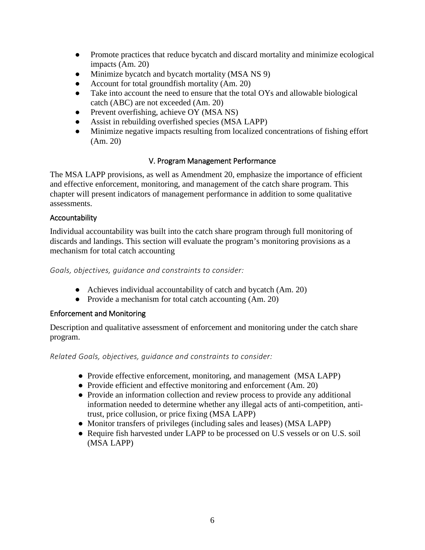- Promote practices that reduce bycatch and discard mortality and minimize ecological impacts (Am. 20)
- Minimize bycatch and bycatch mortality (MSA NS 9)
- Account for total groundfish mortality (Am. 20)
- Take into account the need to ensure that the total OYs and allowable biological catch (ABC) are not exceeded (Am. 20)
- Prevent overfishing, achieve OY (MSA NS)
- Assist in rebuilding overfished species (MSA LAPP)
- Minimize negative impacts resulting from localized concentrations of fishing effort (Am. 20)

# V. Program Management Performance

The MSA LAPP provisions, as well as Amendment 20, emphasize the importance of efficient and effective enforcement, monitoring, and management of the catch share program. This chapter will present indicators of management performance in addition to some qualitative assessments.

#### Accountability

Individual accountability was built into the catch share program through full monitoring of discards and landings. This section will evaluate the program's monitoring provisions as a mechanism for total catch accounting

*Goals, objectives, guidance and constraints to consider:*

- Achieves individual accountability of catch and bycatch (Am. 20)
- Provide a mechanism for total catch accounting (Am. 20)

# Enforcement and Monitoring

Description and qualitative assessment of enforcement and monitoring under the catch share program.

*Related Goals, objectives, guidance and constraints to consider:*

- Provide effective enforcement, monitoring, and management (MSA LAPP)
- Provide efficient and effective monitoring and enforcement (Am. 20)
- Provide an information collection and review process to provide any additional information needed to determine whether any illegal acts of anti-competition, antitrust, price collusion, or price fixing (MSA LAPP)
- Monitor transfers of privileges (including sales and leases) (MSA LAPP)
- Require fish harvested under LAPP to be processed on U.S vessels or on U.S. soil (MSA LAPP)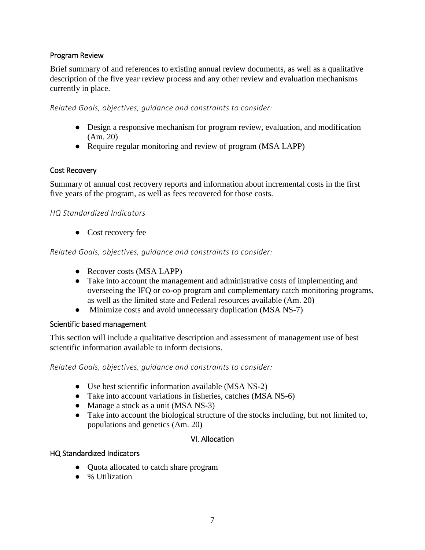#### Program Review

Brief summary of and references to existing annual review documents, as well as a qualitative description of the five year review process and any other review and evaluation mechanisms currently in place.

*Related Goals, objectives, guidance and constraints to consider:*

- Design a responsive mechanism for program review, evaluation, and modification (Am. 20)
- Require regular monitoring and review of program (MSA LAPP)

#### Cost Recovery

Summary of annual cost recovery reports and information about incremental costs in the first five years of the program, as well as fees recovered for those costs.

#### *HQ Standardized Indicators*

● Cost recovery fee

*Related Goals, objectives, guidance and constraints to consider:*

- Recover costs (MSA LAPP)
- Take into account the management and administrative costs of implementing and overseeing the IFQ or co-op program and complementary catch monitoring programs, as well as the limited state and Federal resources available (Am. 20)
- Minimize costs and avoid unnecessary duplication (MSA NS-7)

#### Scientific based management

This section will include a qualitative description and assessment of management use of best scientific information available to inform decisions.

*Related Goals, objectives, guidance and constraints to consider:*

- Use best scientific information available (MSA NS-2)
- Take into account variations in fisheries, catches (MSA NS-6)
- Manage a stock as a unit (MSA NS-3)
- Take into account the biological structure of the stocks including, but not limited to, populations and genetics (Am. 20)

#### VI. Allocation

#### HQ Standardized Indicators

- Quota allocated to catch share program
- % Utilization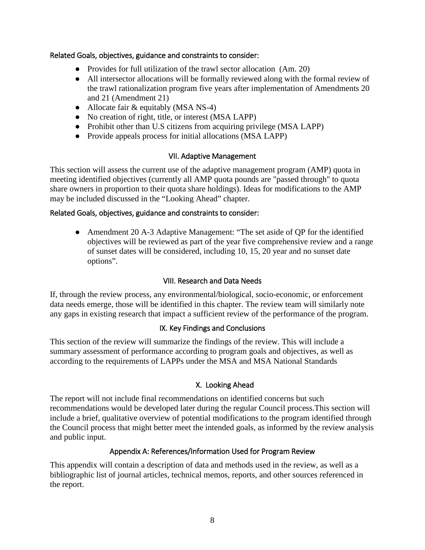#### Related Goals, objectives, guidance and constraints to consider:

- Provides for full utilization of the trawl sector allocation (Am. 20)
- All intersector allocations will be formally reviewed along with the formal review of the trawl rationalization program five years after implementation of Amendments 20 and 21 (Amendment 21)
- Allocate fair & equitably (MSA NS-4)
- No creation of right, title, or interest (MSA LAPP)
- Prohibit other than U.S citizens from acquiring privilege (MSA LAPP)
- Provide appeals process for initial allocations (MSA LAPP)

# VII. Adaptive Management

This section will assess the current use of the adaptive management program (AMP) quota in meeting identified objectives (currently all AMP quota pounds are "passed through" to quota share owners in proportion to their quota share holdings). Ideas for modifications to the AMP may be included discussed in the "Looking Ahead" chapter.

#### Related Goals, objectives, guidance and constraints to consider:

• Amendment 20 A-3 Adaptive Management: "The set aside of QP for the identified objectives will be reviewed as part of the year five comprehensive review and a range of sunset dates will be considered, including 10, 15, 20 year and no sunset date options".

# VIII. Research and Data Needs

If, through the review process, any environmental/biological, socio-economic, or enforcement data needs emerge, those will be identified in this chapter. The review team will similarly note any gaps in existing research that impact a sufficient review of the performance of the program.

# IX. Key Findings and Conclusions

This section of the review will summarize the findings of the review. This will include a summary assessment of performance according to program goals and objectives, as well as according to the requirements of LAPPs under the MSA and MSA National Standards

# X. Looking Ahead

The report will not include final recommendations on identified concerns but such recommendations would be developed later during the regular Council process.This section will include a brief, qualitative overview of potential modifications to the program identified through the Council process that might better meet the intended goals, as informed by the review analysis and public input.

# Appendix A: References/Information Used for Program Review

This appendix will contain a description of data and methods used in the review, as well as a bibliographic list of journal articles, technical memos, reports, and other sources referenced in the report.